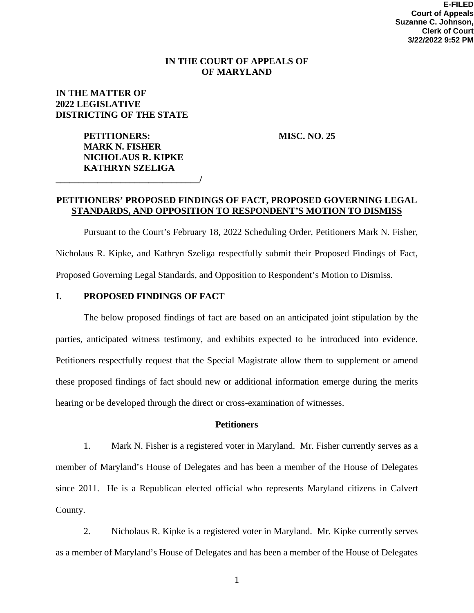## **IN THE COURT OF APPEALS OF OF MARYLAND**

# **IN THE MATTER OF 2022 LEGISLATIVE DISTRICTING OF THE STATE**

**PETITIONERS:** MISC. NO. 25 **MARK N. FISHER NICHOLAUS R. KIPKE KATHRYN SZELIGA \_\_\_\_\_\_\_\_\_\_\_\_\_\_\_\_\_\_\_\_\_\_\_\_\_\_\_\_\_\_\_/** 

# **PETITIONERS' PROPOSED FINDINGS OF FACT, PROPOSED GOVERNING LEGAL STANDARDS, AND OPPOSITION TO RESPONDENT'S MOTION TO DISMISS**

Pursuant to the Court's February 18, 2022 Scheduling Order, Petitioners Mark N. Fisher, Nicholaus R. Kipke, and Kathryn Szeliga respectfully submit their Proposed Findings of Fact, Proposed Governing Legal Standards, and Opposition to Respondent's Motion to Dismiss.

## **I. PROPOSED FINDINGS OF FACT**

The below proposed findings of fact are based on an anticipated joint stipulation by the parties, anticipated witness testimony, and exhibits expected to be introduced into evidence. Petitioners respectfully request that the Special Magistrate allow them to supplement or amend these proposed findings of fact should new or additional information emerge during the merits hearing or be developed through the direct or cross-examination of witnesses.

## **Petitioners**

1. Mark N. Fisher is a registered voter in Maryland. Mr. Fisher currently serves as a member of Maryland's House of Delegates and has been a member of the House of Delegates since 2011. He is a Republican elected official who represents Maryland citizens in Calvert County.

2. Nicholaus R. Kipke is a registered voter in Maryland. Mr. Kipke currently serves as a member of Maryland's House of Delegates and has been a member of the House of Delegates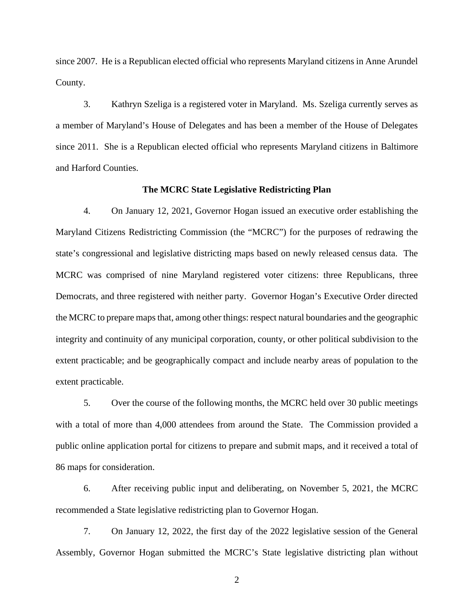since 2007. He is a Republican elected official who represents Maryland citizens in Anne Arundel County.

3. Kathryn Szeliga is a registered voter in Maryland. Ms. Szeliga currently serves as a member of Maryland's House of Delegates and has been a member of the House of Delegates since 2011. She is a Republican elected official who represents Maryland citizens in Baltimore and Harford Counties.

### **The MCRC State Legislative Redistricting Plan**

4. On January 12, 2021, Governor Hogan issued an executive order establishing the Maryland Citizens Redistricting Commission (the "MCRC") for the purposes of redrawing the state's congressional and legislative districting maps based on newly released census data. The MCRC was comprised of nine Maryland registered voter citizens: three Republicans, three Democrats, and three registered with neither party. Governor Hogan's Executive Order directed the MCRC to prepare maps that, among other things: respect natural boundaries and the geographic integrity and continuity of any municipal corporation, county, or other political subdivision to the extent practicable; and be geographically compact and include nearby areas of population to the extent practicable.

5. Over the course of the following months, the MCRC held over 30 public meetings with a total of more than 4,000 attendees from around the State. The Commission provided a public online application portal for citizens to prepare and submit maps, and it received a total of 86 maps for consideration.

6. After receiving public input and deliberating, on November 5, 2021, the MCRC recommended a State legislative redistricting plan to Governor Hogan.

7. On January 12, 2022, the first day of the 2022 legislative session of the General Assembly, Governor Hogan submitted the MCRC's State legislative districting plan without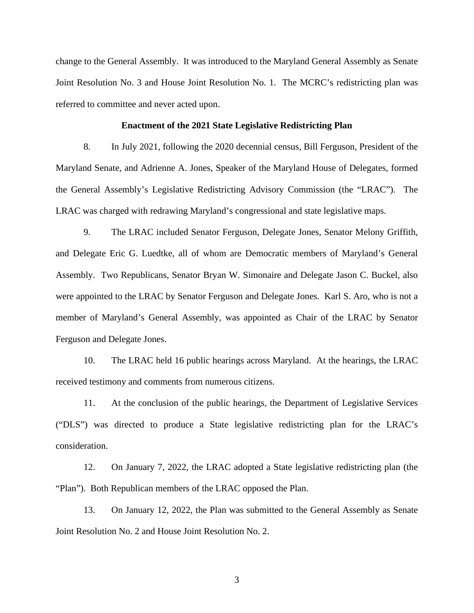change to the General Assembly. It was introduced to the Maryland General Assembly as Senate Joint Resolution No. 3 and House Joint Resolution No. 1. The MCRC's redistricting plan was referred to committee and never acted upon.

## **Enactment of the 2021 State Legislative Redistricting Plan**

8. In July 2021, following the 2020 decennial census, Bill Ferguson, President of the Maryland Senate, and Adrienne A. Jones, Speaker of the Maryland House of Delegates, formed the General Assembly's Legislative Redistricting Advisory Commission (the "LRAC"). The LRAC was charged with redrawing Maryland's congressional and state legislative maps.

9. The LRAC included Senator Ferguson, Delegate Jones, Senator Melony Griffith, and Delegate Eric G. Luedtke, all of whom are Democratic members of Maryland's General Assembly. Two Republicans, Senator Bryan W. Simonaire and Delegate Jason C. Buckel, also were appointed to the LRAC by Senator Ferguson and Delegate Jones. Karl S. Aro, who is not a member of Maryland's General Assembly, was appointed as Chair of the LRAC by Senator Ferguson and Delegate Jones.

10. The LRAC held 16 public hearings across Maryland. At the hearings, the LRAC received testimony and comments from numerous citizens.

11. At the conclusion of the public hearings, the Department of Legislative Services ("DLS") was directed to produce a State legislative redistricting plan for the LRAC's consideration.

12. On January 7, 2022, the LRAC adopted a State legislative redistricting plan (the "Plan"). Both Republican members of the LRAC opposed the Plan.

13. On January 12, 2022, the Plan was submitted to the General Assembly as Senate Joint Resolution No. 2 and House Joint Resolution No. 2.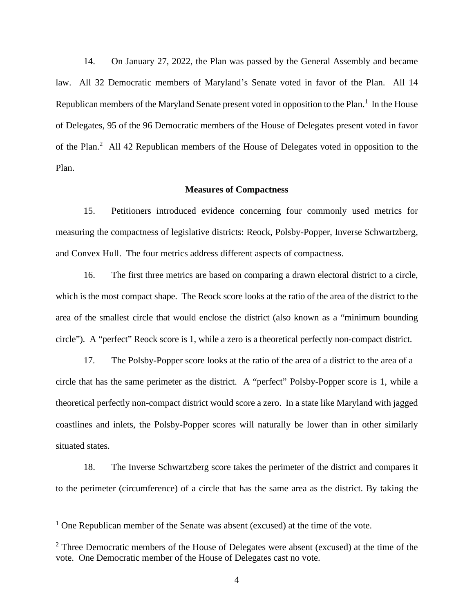14. On January 27, 2022, the Plan was passed by the General Assembly and became law. All 32 Democratic members of Maryland's Senate voted in favor of the Plan. All 14 Republican members of the Maryland Senate present voted in opposition to the Plan.<sup>1</sup> In the House of Delegates, 95 of the 96 Democratic members of the House of Delegates present voted in favor of the Plan.<sup>2</sup> All 42 Republican members of the House of Delegates voted in opposition to the Plan.

### **Measures of Compactness**

15. Petitioners introduced evidence concerning four commonly used metrics for measuring the compactness of legislative districts: Reock, Polsby-Popper, Inverse Schwartzberg, and Convex Hull. The four metrics address different aspects of compactness.

16. The first three metrics are based on comparing a drawn electoral district to a circle, which is the most compact shape. The Reock score looks at the ratio of the area of the district to the area of the smallest circle that would enclose the district (also known as a "minimum bounding circle"). A "perfect" Reock score is 1, while a zero is a theoretical perfectly non-compact district.

17. The Polsby-Popper score looks at the ratio of the area of a district to the area of a circle that has the same perimeter as the district. A "perfect" Polsby-Popper score is 1, while a theoretical perfectly non-compact district would score a zero. In a state like Maryland with jagged coastlines and inlets, the Polsby-Popper scores will naturally be lower than in other similarly situated states.

18. The Inverse Schwartzberg score takes the perimeter of the district and compares it to the perimeter (circumference) of a circle that has the same area as the district. By taking the

<sup>&</sup>lt;sup>1</sup> One Republican member of the Senate was absent (excused) at the time of the vote.

 $2$  Three Democratic members of the House of Delegates were absent (excused) at the time of the vote. One Democratic member of the House of Delegates cast no vote.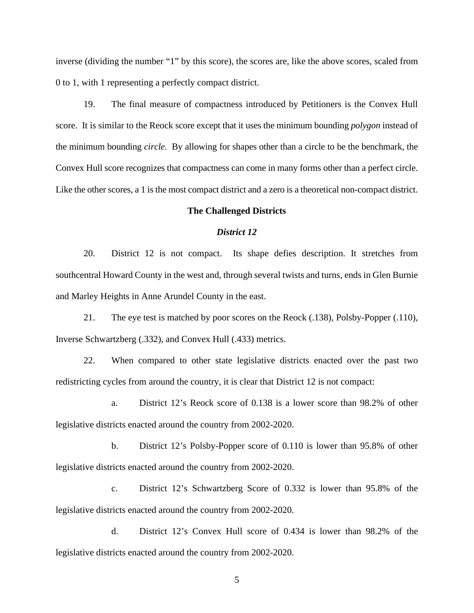inverse (dividing the number "1" by this score), the scores are, like the above scores, scaled from 0 to 1, with 1 representing a perfectly compact district.

19. The final measure of compactness introduced by Petitioners is the Convex Hull score. It is similar to the Reock score except that it uses the minimum bounding *polygon* instead of the minimum bounding *circle*. By allowing for shapes other than a circle to be the benchmark, the Convex Hull score recognizes that compactness can come in many forms other than a perfect circle. Like the other scores, a 1 is the most compact district and a zero is a theoretical non-compact district.

### **The Challenged Districts**

### *District 12*

20. District 12 is not compact. Its shape defies description. It stretches from southcentral Howard County in the west and, through several twists and turns, ends in Glen Burnie and Marley Heights in Anne Arundel County in the east.

21. The eye test is matched by poor scores on the Reock (.138), Polsby-Popper (.110), Inverse Schwartzberg (.332), and Convex Hull (.433) metrics.

22. When compared to other state legislative districts enacted over the past two redistricting cycles from around the country, it is clear that District 12 is not compact:

a. District 12's Reock score of 0.138 is a lower score than 98.2% of other legislative districts enacted around the country from 2002-2020.

b. District 12's Polsby-Popper score of 0.110 is lower than 95.8% of other legislative districts enacted around the country from 2002-2020.

c. District 12's Schwartzberg Score of 0.332 is lower than 95.8% of the legislative districts enacted around the country from 2002-2020.

d. District 12's Convex Hull score of 0.434 is lower than 98.2% of the legislative districts enacted around the country from 2002-2020.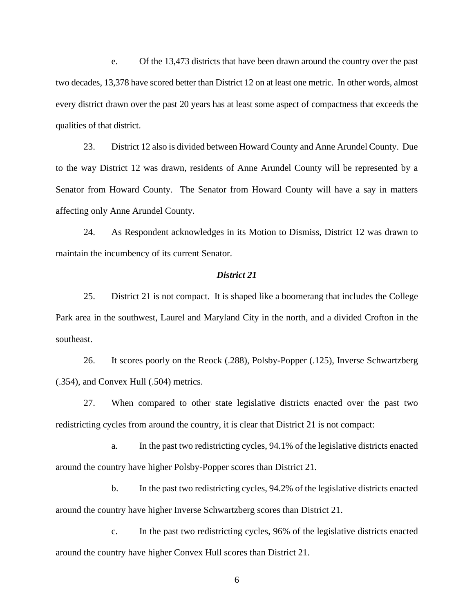e. Of the 13,473 districts that have been drawn around the country over the past two decades, 13,378 have scored better than District 12 on at least one metric. In other words, almost every district drawn over the past 20 years has at least some aspect of compactness that exceeds the qualities of that district.

23. District 12 also is divided between Howard County and Anne Arundel County. Due to the way District 12 was drawn, residents of Anne Arundel County will be represented by a Senator from Howard County. The Senator from Howard County will have a say in matters affecting only Anne Arundel County.

24. As Respondent acknowledges in its Motion to Dismiss, District 12 was drawn to maintain the incumbency of its current Senator.

#### *District 21*

25. District 21 is not compact. It is shaped like a boomerang that includes the College Park area in the southwest, Laurel and Maryland City in the north, and a divided Crofton in the southeast.

26. It scores poorly on the Reock (.288), Polsby-Popper (.125), Inverse Schwartzberg (.354), and Convex Hull (.504) metrics.

27. When compared to other state legislative districts enacted over the past two redistricting cycles from around the country, it is clear that District 21 is not compact:

a. In the past two redistricting cycles, 94.1% of the legislative districts enacted around the country have higher Polsby-Popper scores than District 21.

b. In the past two redistricting cycles, 94.2% of the legislative districts enacted around the country have higher Inverse Schwartzberg scores than District 21.

c. In the past two redistricting cycles, 96% of the legislative districts enacted around the country have higher Convex Hull scores than District 21.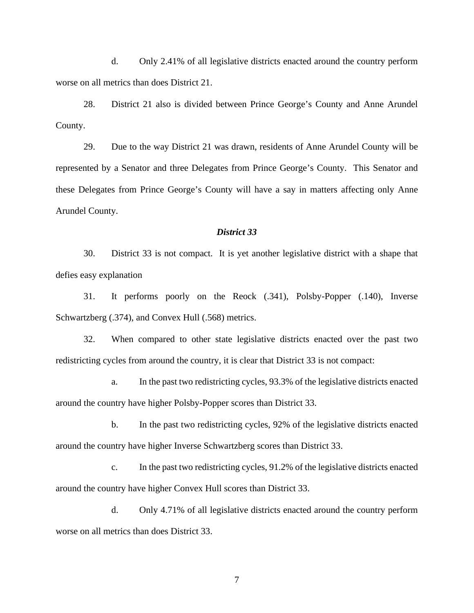d. Only 2.41% of all legislative districts enacted around the country perform worse on all metrics than does District 21.

28. District 21 also is divided between Prince George's County and Anne Arundel County.

29. Due to the way District 21 was drawn, residents of Anne Arundel County will be represented by a Senator and three Delegates from Prince George's County. This Senator and these Delegates from Prince George's County will have a say in matters affecting only Anne Arundel County.

# *District 33*

30. District 33 is not compact. It is yet another legislative district with a shape that defies easy explanation

31. It performs poorly on the Reock (.341), Polsby-Popper (.140), Inverse Schwartzberg (.374), and Convex Hull (.568) metrics.

32. When compared to other state legislative districts enacted over the past two redistricting cycles from around the country, it is clear that District 33 is not compact:

a. In the past two redistricting cycles, 93.3% of the legislative districts enacted around the country have higher Polsby-Popper scores than District 33.

b. In the past two redistricting cycles, 92% of the legislative districts enacted around the country have higher Inverse Schwartzberg scores than District 33.

c. In the past two redistricting cycles, 91.2% of the legislative districts enacted around the country have higher Convex Hull scores than District 33.

d. Only 4.71% of all legislative districts enacted around the country perform worse on all metrics than does District 33.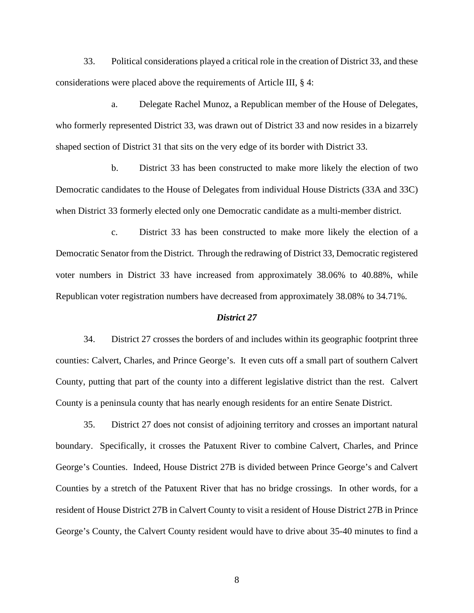33. Political considerations played a critical role in the creation of District 33, and these considerations were placed above the requirements of Article III, § 4:

a. Delegate Rachel Munoz, a Republican member of the House of Delegates, who formerly represented District 33, was drawn out of District 33 and now resides in a bizarrely shaped section of District 31 that sits on the very edge of its border with District 33.

b. District 33 has been constructed to make more likely the election of two Democratic candidates to the House of Delegates from individual House Districts (33A and 33C) when District 33 formerly elected only one Democratic candidate as a multi-member district.

c. District 33 has been constructed to make more likely the election of a Democratic Senator from the District. Through the redrawing of District 33, Democratic registered voter numbers in District 33 have increased from approximately 38.06% to 40.88%, while Republican voter registration numbers have decreased from approximately 38.08% to 34.71%.

#### *District 27*

34. District 27 crosses the borders of and includes within its geographic footprint three counties: Calvert, Charles, and Prince George's. It even cuts off a small part of southern Calvert County, putting that part of the county into a different legislative district than the rest. Calvert County is a peninsula county that has nearly enough residents for an entire Senate District.

35. District 27 does not consist of adjoining territory and crosses an important natural boundary. Specifically, it crosses the Patuxent River to combine Calvert, Charles, and Prince George's Counties. Indeed, House District 27B is divided between Prince George's and Calvert Counties by a stretch of the Patuxent River that has no bridge crossings. In other words, for a resident of House District 27B in Calvert County to visit a resident of House District 27B in Prince George's County, the Calvert County resident would have to drive about 35-40 minutes to find a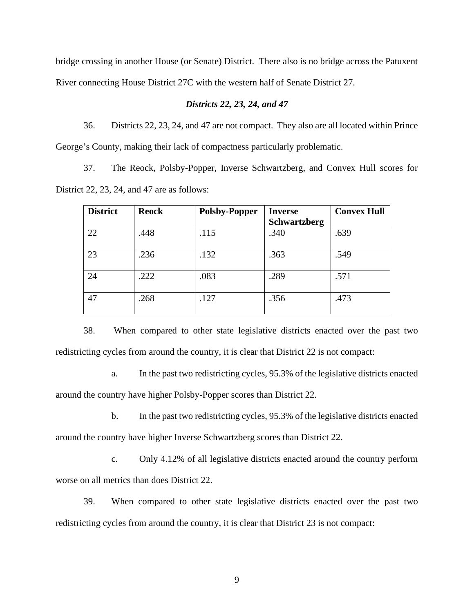bridge crossing in another House (or Senate) District. There also is no bridge across the Patuxent River connecting House District 27C with the western half of Senate District 27.

# *Districts 22, 23, 24, and 47*

36. Districts 22, 23, 24, and 47 are not compact. They also are all located within Prince George's County, making their lack of compactness particularly problematic.

37. The Reock, Polsby-Popper, Inverse Schwartzberg, and Convex Hull scores for District 22, 23, 24, and 47 are as follows:

| <b>District</b> | <b>Reock</b> | <b>Polsby-Popper</b> | <b>Inverse</b>      | <b>Convex Hull</b> |
|-----------------|--------------|----------------------|---------------------|--------------------|
|                 |              |                      | <b>Schwartzberg</b> |                    |
| 22              | .448         | .115                 | .340                | .639               |
| 23              | .236         | .132                 | .363                | .549               |
| 24              | .222         | .083                 | .289                | .571               |
| 47              | .268         | .127                 | .356                | .473               |

38. When compared to other state legislative districts enacted over the past two redistricting cycles from around the country, it is clear that District 22 is not compact:

a. In the past two redistricting cycles, 95.3% of the legislative districts enacted around the country have higher Polsby-Popper scores than District 22.

b. In the past two redistricting cycles, 95.3% of the legislative districts enacted around the country have higher Inverse Schwartzberg scores than District 22.

c. Only 4.12% of all legislative districts enacted around the country perform worse on all metrics than does District 22.

39. When compared to other state legislative districts enacted over the past two redistricting cycles from around the country, it is clear that District 23 is not compact: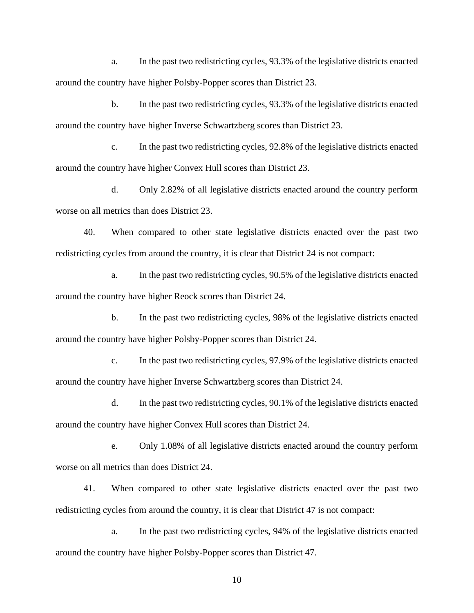a. In the past two redistricting cycles, 93.3% of the legislative districts enacted around the country have higher Polsby-Popper scores than District 23.

b. In the past two redistricting cycles, 93.3% of the legislative districts enacted around the country have higher Inverse Schwartzberg scores than District 23.

c. In the past two redistricting cycles, 92.8% of the legislative districts enacted around the country have higher Convex Hull scores than District 23.

d. Only 2.82% of all legislative districts enacted around the country perform worse on all metrics than does District 23.

40. When compared to other state legislative districts enacted over the past two redistricting cycles from around the country, it is clear that District 24 is not compact:

a. In the past two redistricting cycles, 90.5% of the legislative districts enacted around the country have higher Reock scores than District 24.

b. In the past two redistricting cycles, 98% of the legislative districts enacted around the country have higher Polsby-Popper scores than District 24.

c. In the past two redistricting cycles, 97.9% of the legislative districts enacted around the country have higher Inverse Schwartzberg scores than District 24.

d. In the past two redistricting cycles, 90.1% of the legislative districts enacted around the country have higher Convex Hull scores than District 24.

e. Only 1.08% of all legislative districts enacted around the country perform worse on all metrics than does District 24.

41. When compared to other state legislative districts enacted over the past two redistricting cycles from around the country, it is clear that District 47 is not compact:

a. In the past two redistricting cycles, 94% of the legislative districts enacted around the country have higher Polsby-Popper scores than District 47.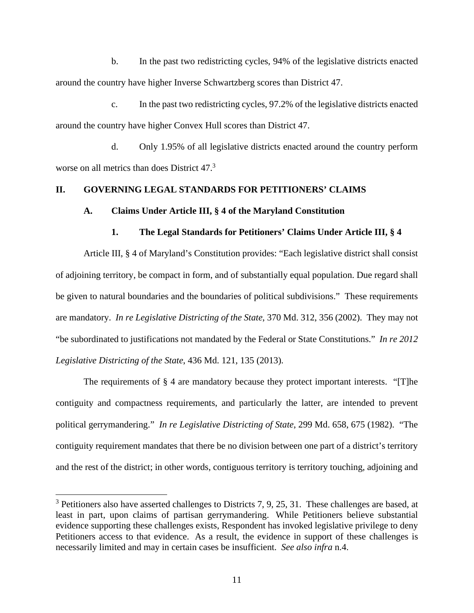b. In the past two redistricting cycles, 94% of the legislative districts enacted around the country have higher Inverse Schwartzberg scores than District 47.

c. In the past two redistricting cycles, 97.2% of the legislative districts enacted around the country have higher Convex Hull scores than District 47.

d. Only 1.95% of all legislative districts enacted around the country perform worse on all metrics than does District 47.<sup>3</sup>

# **II. GOVERNING LEGAL STANDARDS FOR PETITIONERS' CLAIMS**

#### **A. Claims Under Article III, § 4 of the Maryland Constitution**

### **1. The Legal Standards for Petitioners' Claims Under Article III, § 4**

Article III, § 4 of Maryland's Constitution provides: "Each legislative district shall consist of adjoining territory, be compact in form, and of substantially equal population. Due regard shall be given to natural boundaries and the boundaries of political subdivisions." These requirements are mandatory. *In re Legislative Districting of the State*, 370 Md. 312, 356 (2002). They may not "be subordinated to justifications not mandated by the Federal or State Constitutions." *In re 2012 Legislative Districting of the State*, 436 Md. 121, 135 (2013).

The requirements of  $\S$  4 are mandatory because they protect important interests. "[T]he contiguity and compactness requirements, and particularly the latter, are intended to prevent political gerrymandering." *In re Legislative Districting of State*, 299 Md. 658, 675 (1982). "The contiguity requirement mandates that there be no division between one part of a district's territory and the rest of the district; in other words, contiguous territory is territory touching, adjoining and

 $3$  Petitioners also have asserted challenges to Districts 7, 9, 25, 31. These challenges are based, at least in part, upon claims of partisan gerrymandering. While Petitioners believe substantial evidence supporting these challenges exists, Respondent has invoked legislative privilege to deny Petitioners access to that evidence. As a result, the evidence in support of these challenges is necessarily limited and may in certain cases be insufficient. *See also infra* n.4.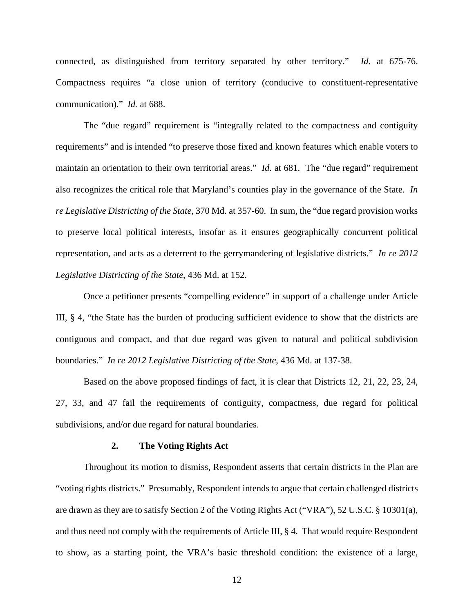connected, as distinguished from territory separated by other territory." *Id.* at 675-76. Compactness requires "a close union of territory (conducive to constituent-representative communication)." *Id.* at 688.

The "due regard" requirement is "integrally related to the compactness and contiguity requirements" and is intended "to preserve those fixed and known features which enable voters to maintain an orientation to their own territorial areas." *Id.* at 681. The "due regard" requirement also recognizes the critical role that Maryland's counties play in the governance of the State. *In re Legislative Districting of the State*, 370 Md. at 357-60. In sum, the "due regard provision works to preserve local political interests, insofar as it ensures geographically concurrent political representation, and acts as a deterrent to the gerrymandering of legislative districts." *In re 2012 Legislative Districting of the State*, 436 Md. at 152.

Once a petitioner presents "compelling evidence" in support of a challenge under Article III, § 4, "the State has the burden of producing sufficient evidence to show that the districts are contiguous and compact, and that due regard was given to natural and political subdivision boundaries." *In re 2012 Legislative Districting of the State*, 436 Md. at 137-38.

Based on the above proposed findings of fact, it is clear that Districts 12, 21, 22, 23, 24, 27, 33, and 47 fail the requirements of contiguity, compactness, due regard for political subdivisions, and/or due regard for natural boundaries.

#### **2. The Voting Rights Act**

Throughout its motion to dismiss, Respondent asserts that certain districts in the Plan are "voting rights districts." Presumably, Respondent intends to argue that certain challenged districts are drawn as they are to satisfy Section 2 of the Voting Rights Act ("VRA"), 52 U.S.C. § 10301(a), and thus need not comply with the requirements of Article III, § 4. That would require Respondent to show, as a starting point, the VRA's basic threshold condition: the existence of a large,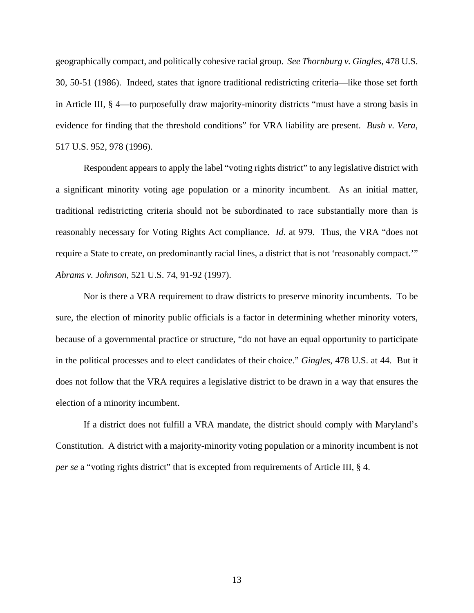geographically compact, and politically cohesive racial group. *See Thornburg v. Gingles*, 478 U.S. 30, 50-51 (1986). Indeed, states that ignore traditional redistricting criteria—like those set forth in Article III, § 4—to purposefully draw majority-minority districts "must have a strong basis in evidence for finding that the threshold conditions" for VRA liability are present. *Bush v. Vera*, 517 U.S. 952, 978 (1996).

Respondent appears to apply the label "voting rights district" to any legislative district with a significant minority voting age population or a minority incumbent. As an initial matter, traditional redistricting criteria should not be subordinated to race substantially more than is reasonably necessary for Voting Rights Act compliance. *Id*. at 979. Thus, the VRA "does not require a State to create, on predominantly racial lines, a district that is not 'reasonably compact.'" *Abrams v. Johnson*, 521 U.S. 74, 91-92 (1997).

Nor is there a VRA requirement to draw districts to preserve minority incumbents. To be sure, the election of minority public officials is a factor in determining whether minority voters, because of a governmental practice or structure, "do not have an equal opportunity to participate in the political processes and to elect candidates of their choice." *Gingles*, 478 U.S. at 44. But it does not follow that the VRA requires a legislative district to be drawn in a way that ensures the election of a minority incumbent.

If a district does not fulfill a VRA mandate, the district should comply with Maryland's Constitution. A district with a majority-minority voting population or a minority incumbent is not *per se* a "voting rights district" that is excepted from requirements of Article III, § 4.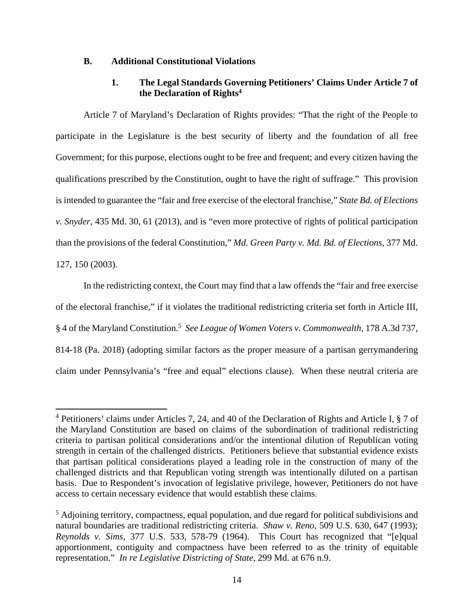## **B. Additional Constitutional Violations**

# **1. The Legal Standards Governing Petitioners' Claims Under Article 7 of the Declaration of Rights<sup>4</sup>**

Article 7 of Maryland's Declaration of Rights provides: "That the right of the People to participate in the Legislature is the best security of liberty and the foundation of all free Government; for this purpose, elections ought to be free and frequent; and every citizen having the qualifications prescribed by the Constitution, ought to have the right of suffrage." This provision is intended to guarantee the "fair and free exercise of the electoral franchise," *State Bd. of Elections v. Snyder*, 435 Md. 30, 61 (2013), and is "even more protective of rights of political participation than the provisions of the federal Constitution," *Md. Green Party v. Md. Bd. of Elections*, 377 Md. 127, 150 (2003).

In the redistricting context, the Court may find that a law offends the "fair and free exercise of the electoral franchise," if it violates the traditional redistricting criteria set forth in Article III, § 4 of the Maryland Constitution.<sup>5</sup> *See League of Women Voters v. Commonwealth*, 178 A.3d 737, 814-18 (Pa. 2018) (adopting similar factors as the proper measure of a partisan gerrymandering claim under Pennsylvania's "free and equal" elections clause). When these neutral criteria are

<sup>4</sup> Petitioners' claims under Articles 7, 24, and 40 of the Declaration of Rights and Article I, § 7 of the Maryland Constitution are based on claims of the subordination of traditional redistricting criteria to partisan political considerations and/or the intentional dilution of Republican voting strength in certain of the challenged districts. Petitioners believe that substantial evidence exists that partisan political considerations played a leading role in the construction of many of the challenged districts and that Republican voting strength was intentionally diluted on a partisan basis. Due to Respondent's invocation of legislative privilege, however, Petitioners do not have access to certain necessary evidence that would establish these claims.

<sup>&</sup>lt;sup>5</sup> Adjoining territory, compactness, equal population, and due regard for political subdivisions and natural boundaries are traditional redistricting criteria. *Shaw v. Reno*, 509 U.S. 630, 647 (1993); *Reynolds v. Sims*, 377 U.S. 533, 578-79 (1964). This Court has recognized that "[e]qual apportionment, contiguity and compactness have been referred to as the trinity of equitable representation." *In re Legislative Districting of State*, 299 Md. at 676 n.9.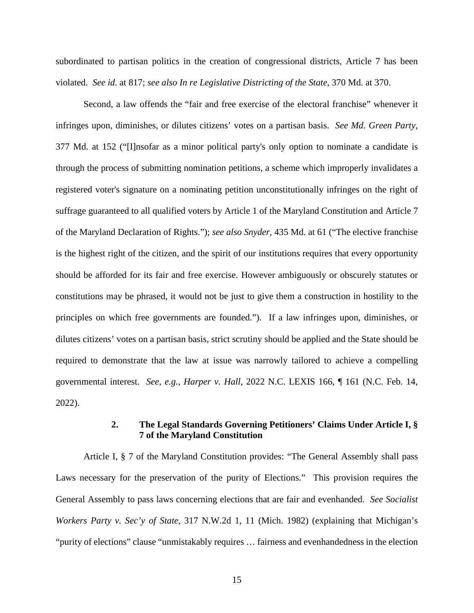subordinated to partisan politics in the creation of congressional districts, Article 7 has been violated. *See id.* at 817; *see also In re Legislative Districting of the State*, 370 Md. at 370.

Second, a law offends the "fair and free exercise of the electoral franchise" whenever it infringes upon, diminishes, or dilutes citizens' votes on a partisan basis. *See Md. Green Party*, 377 Md. at 152 ("[I]nsofar as a minor political party's only option to nominate a candidate is through the process of submitting nomination petitions, a scheme which improperly invalidates a registered voter's signature on a nominating petition unconstitutionally infringes on the right of suffrage guaranteed to all qualified voters by Article 1 of the Maryland Constitution and Article 7 of the Maryland Declaration of Rights."); *see also Snyder*, 435 Md. at 61 ("The elective franchise is the highest right of the citizen, and the spirit of our institutions requires that every opportunity should be afforded for its fair and free exercise. However ambiguously or obscurely statutes or constitutions may be phrased, it would not be just to give them a construction in hostility to the principles on which free governments are founded."). If a law infringes upon, diminishes, or dilutes citizens' votes on a partisan basis, strict scrutiny should be applied and the State should be required to demonstrate that the law at issue was narrowly tailored to achieve a compelling governmental interest. *See, e.g.*, *Harper v. Hall*, 2022 N.C. LEXIS 166, ¶ 161 (N.C. Feb. 14, 2022).

# **2. The Legal Standards Governing Petitioners' Claims Under Article I, § 7 of the Maryland Constitution**

Article I, § 7 of the Maryland Constitution provides: "The General Assembly shall pass Laws necessary for the preservation of the purity of Elections." This provision requires the General Assembly to pass laws concerning elections that are fair and evenhanded. *See Socialist Workers Party v. Sec'y of State*, 317 N.W.2d 1, 11 (Mich. 1982) (explaining that Michigan's "purity of elections" clause "unmistakably requires … fairness and evenhandedness in the election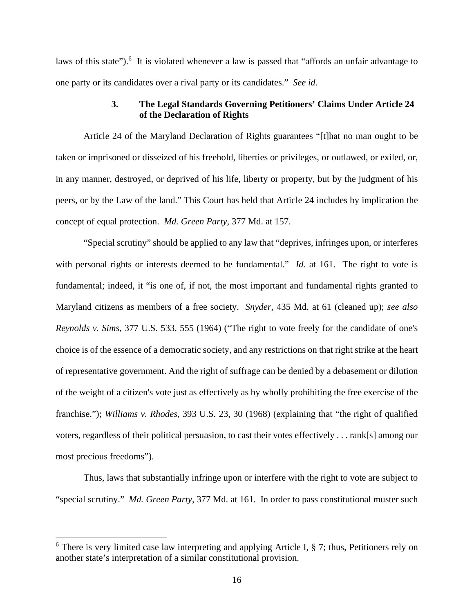laws of this state").<sup>6</sup> It is violated whenever a law is passed that "affords an unfair advantage to one party or its candidates over a rival party or its candidates." *See id.*

# **3. The Legal Standards Governing Petitioners' Claims Under Article 24 of the Declaration of Rights**

Article 24 of the Maryland Declaration of Rights guarantees "[t]hat no man ought to be taken or imprisoned or disseized of his freehold, liberties or privileges, or outlawed, or exiled, or, in any manner, destroyed, or deprived of his life, liberty or property, but by the judgment of his peers, or by the Law of the land." This Court has held that Article 24 includes by implication the concept of equal protection. *Md. Green Party*, 377 Md. at 157.

"Special scrutiny" should be applied to any law that "deprives, infringes upon, or interferes with personal rights or interests deemed to be fundamental." *Id.* at 161. The right to vote is fundamental; indeed, it "is one of, if not, the most important and fundamental rights granted to Maryland citizens as members of a free society. *Snyder*, 435 Md. at 61 (cleaned up); *see also Reynolds v. Sims*, 377 U.S. 533, 555 (1964) ("The right to vote freely for the candidate of one's choice is of the essence of a democratic society, and any restrictions on that right strike at the heart of representative government. And the right of suffrage can be denied by a debasement or dilution of the weight of a citizen's vote just as effectively as by wholly prohibiting the free exercise of the franchise."); *Williams v. Rhodes*, 393 U.S. 23, 30 (1968) (explaining that "the right of qualified voters, regardless of their political persuasion, to cast their votes effectively . . . rank[s] among our most precious freedoms").

Thus, laws that substantially infringe upon or interfere with the right to vote are subject to "special scrutiny." *Md. Green Party*, 377 Md. at 161. In order to pass constitutional muster such

<sup>&</sup>lt;sup>6</sup> There is very limited case law interpreting and applying Article I, § 7; thus, Petitioners rely on another state's interpretation of a similar constitutional provision.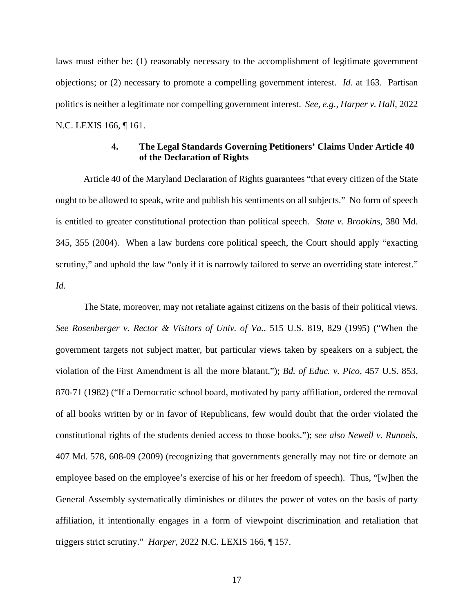laws must either be: (1) reasonably necessary to the accomplishment of legitimate government objections; or (2) necessary to promote a compelling government interest. *Id.* at 163. Partisan politics is neither a legitimate nor compelling government interest. *See, e.g.*, *Harper v. Hall*, 2022 N.C. LEXIS 166, ¶ 161.

# **4. The Legal Standards Governing Petitioners' Claims Under Article 40 of the Declaration of Rights**

Article 40 of the Maryland Declaration of Rights guarantees "that every citizen of the State ought to be allowed to speak, write and publish his sentiments on all subjects." No form of speech is entitled to greater constitutional protection than political speech. *State v. Brookins*, 380 Md. 345, 355 (2004). When a law burdens core political speech, the Court should apply "exacting scrutiny," and uphold the law "only if it is narrowly tailored to serve an overriding state interest." *Id*.

The State, moreover, may not retaliate against citizens on the basis of their political views. *See Rosenberger v. Rector & Visitors of Univ. of Va.*, 515 U.S. 819, 829 (1995) ("When the government targets not subject matter, but particular views taken by speakers on a subject, the violation of the First Amendment is all the more blatant."); *Bd. of Educ. v. Pico*, 457 U.S. 853, 870-71 (1982) ("If a Democratic school board, motivated by party affiliation, ordered the removal of all books written by or in favor of Republicans, few would doubt that the order violated the constitutional rights of the students denied access to those books."); *see also Newell v. Runnels*, 407 Md. 578, 608-09 (2009) (recognizing that governments generally may not fire or demote an employee based on the employee's exercise of his or her freedom of speech). Thus, "[w]hen the General Assembly systematically diminishes or dilutes the power of votes on the basis of party affiliation, it intentionally engages in a form of viewpoint discrimination and retaliation that triggers strict scrutiny." *Harper*, 2022 N.C. LEXIS 166, ¶ 157.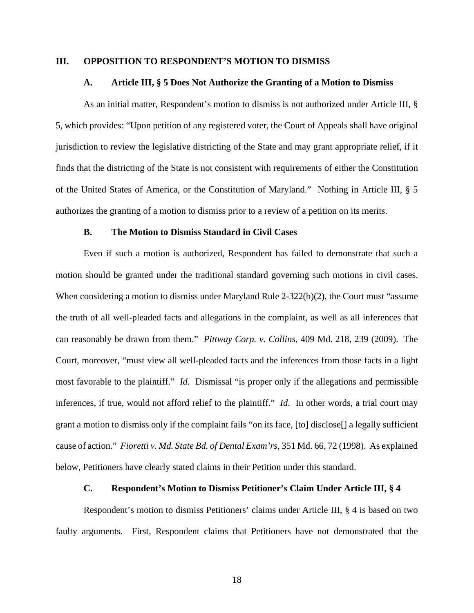#### **III. OPPOSITION TO RESPONDENT'S MOTION TO DISMISS**

#### **A. Article III, § 5 Does Not Authorize the Granting of a Motion to Dismiss**

As an initial matter, Respondent's motion to dismiss is not authorized under Article III, § 5, which provides: "Upon petition of any registered voter, the Court of Appeals shall have original jurisdiction to review the legislative districting of the State and may grant appropriate relief, if it finds that the districting of the State is not consistent with requirements of either the Constitution of the United States of America, or the Constitution of Maryland." Nothing in Article III, § 5 authorizes the granting of a motion to dismiss prior to a review of a petition on its merits.

#### **B. The Motion to Dismiss Standard in Civil Cases**

Even if such a motion is authorized, Respondent has failed to demonstrate that such a motion should be granted under the traditional standard governing such motions in civil cases. When considering a motion to dismiss under Maryland Rule 2-322(b)(2), the Court must "assume the truth of all well-pleaded facts and allegations in the complaint, as well as all inferences that can reasonably be drawn from them." *Pittway Corp. v. Collins*, 409 Md. 218, 239 (2009). The Court, moreover, "must view all well-pleaded facts and the inferences from those facts in a light most favorable to the plaintiff." *Id.* Dismissal "is proper only if the allegations and permissible inferences, if true, would not afford relief to the plaintiff." *Id.* In other words, a trial court may grant a motion to dismiss only if the complaint fails "on its face, [to] disclose[] a legally sufficient cause of action." *Fioretti v. Md. State Bd. of Dental Exam'rs*, 351 Md. 66, 72 (1998). As explained below, Petitioners have clearly stated claims in their Petition under this standard.

#### **C. Respondent's Motion to Dismiss Petitioner's Claim Under Article III, § 4**

Respondent's motion to dismiss Petitioners' claims under Article III, § 4 is based on two faulty arguments. First, Respondent claims that Petitioners have not demonstrated that the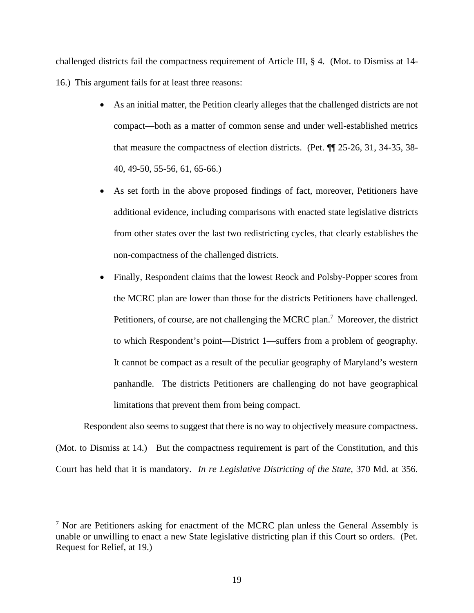challenged districts fail the compactness requirement of Article III, § 4. (Mot. to Dismiss at 14- 16.) This argument fails for at least three reasons:

- As an initial matter, the Petition clearly alleges that the challenged districts are not compact—both as a matter of common sense and under well-established metrics that measure the compactness of election districts. (Pet. ¶¶ 25-26, 31, 34-35, 38- 40, 49-50, 55-56, 61, 65-66.)
- As set forth in the above proposed findings of fact, moreover, Petitioners have additional evidence, including comparisons with enacted state legislative districts from other states over the last two redistricting cycles, that clearly establishes the non-compactness of the challenged districts.
- Finally, Respondent claims that the lowest Reock and Polsby-Popper scores from the MCRC plan are lower than those for the districts Petitioners have challenged. Petitioners, of course, are not challenging the MCRC plan.<sup>7</sup> Moreover, the district to which Respondent's point—District 1—suffers from a problem of geography. It cannot be compact as a result of the peculiar geography of Maryland's western panhandle. The districts Petitioners are challenging do not have geographical limitations that prevent them from being compact.

Respondent also seems to suggest that there is no way to objectively measure compactness. (Mot. to Dismiss at 14.) But the compactness requirement is part of the Constitution, and this Court has held that it is mandatory. *In re Legislative Districting of the State*, 370 Md. at 356.

 $7$  Nor are Petitioners asking for enactment of the MCRC plan unless the General Assembly is unable or unwilling to enact a new State legislative districting plan if this Court so orders. (Pet. Request for Relief, at 19.)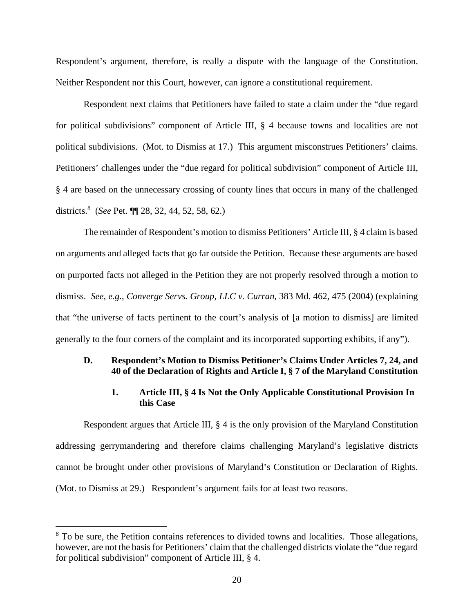Respondent's argument, therefore, is really a dispute with the language of the Constitution. Neither Respondent nor this Court, however, can ignore a constitutional requirement.

Respondent next claims that Petitioners have failed to state a claim under the "due regard for political subdivisions" component of Article III, § 4 because towns and localities are not political subdivisions. (Mot. to Dismiss at 17.) This argument misconstrues Petitioners' claims. Petitioners' challenges under the "due regard for political subdivision" component of Article III, § 4 are based on the unnecessary crossing of county lines that occurs in many of the challenged districts.<sup>8</sup> (*See* Pet. ¶¶ 28, 32, 44, 52, 58, 62.)

The remainder of Respondent's motion to dismiss Petitioners' Article III, § 4 claim is based on arguments and alleged facts that go far outside the Petition. Because these arguments are based on purported facts not alleged in the Petition they are not properly resolved through a motion to dismiss. *See, e.g.*, *Converge Servs. Group, LLC v. Curran*, 383 Md. 462, 475 (2004) (explaining that "the universe of facts pertinent to the court's analysis of [a motion to dismiss] are limited generally to the four corners of the complaint and its incorporated supporting exhibits, if any").

# **D. Respondent's Motion to Dismiss Petitioner's Claims Under Articles 7, 24, and 40 of the Declaration of Rights and Article I, § 7 of the Maryland Constitution**

# **1. Article III, § 4 Is Not the Only Applicable Constitutional Provision In this Case**

Respondent argues that Article III, § 4 is the only provision of the Maryland Constitution addressing gerrymandering and therefore claims challenging Maryland's legislative districts cannot be brought under other provisions of Maryland's Constitution or Declaration of Rights. (Mot. to Dismiss at 29.) Respondent's argument fails for at least two reasons.

 $8$  To be sure, the Petition contains references to divided towns and localities. Those allegations, however, are not the basis for Petitioners' claim that the challenged districts violate the "due regard for political subdivision" component of Article III, § 4.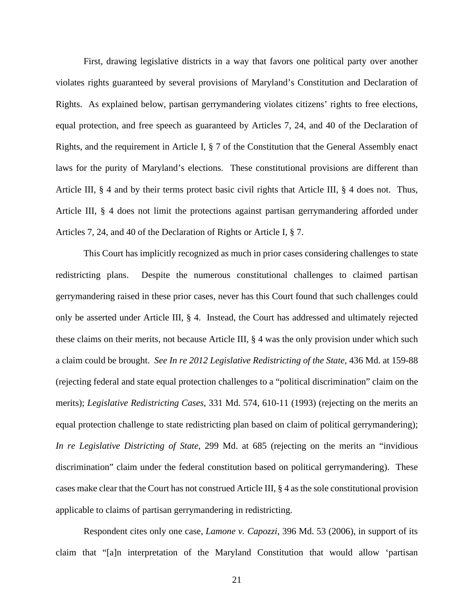First, drawing legislative districts in a way that favors one political party over another violates rights guaranteed by several provisions of Maryland's Constitution and Declaration of Rights. As explained below, partisan gerrymandering violates citizens' rights to free elections, equal protection, and free speech as guaranteed by Articles 7, 24, and 40 of the Declaration of Rights, and the requirement in Article I, § 7 of the Constitution that the General Assembly enact laws for the purity of Maryland's elections. These constitutional provisions are different than Article III, § 4 and by their terms protect basic civil rights that Article III, § 4 does not. Thus, Article III, § 4 does not limit the protections against partisan gerrymandering afforded under Articles 7, 24, and 40 of the Declaration of Rights or Article I, § 7.

This Court has implicitly recognized as much in prior cases considering challenges to state redistricting plans. Despite the numerous constitutional challenges to claimed partisan gerrymandering raised in these prior cases, never has this Court found that such challenges could only be asserted under Article III, § 4. Instead, the Court has addressed and ultimately rejected these claims on their merits, not because Article III, § 4 was the only provision under which such a claim could be brought. *See In re 2012 Legislative Redistricting of the State*, 436 Md. at 159-88 (rejecting federal and state equal protection challenges to a "political discrimination" claim on the merits); *Legislative Redistricting Cases*, 331 Md. 574, 610-11 (1993) (rejecting on the merits an equal protection challenge to state redistricting plan based on claim of political gerrymandering); *In re Legislative Districting of State*, 299 Md. at 685 (rejecting on the merits an "invidious discrimination" claim under the federal constitution based on political gerrymandering). These cases make clear that the Court has not construed Article III, § 4 as the sole constitutional provision applicable to claims of partisan gerrymandering in redistricting.

Respondent cites only one case, *Lamone v. Capozzi*, 396 Md. 53 (2006), in support of its claim that "[a]n interpretation of the Maryland Constitution that would allow 'partisan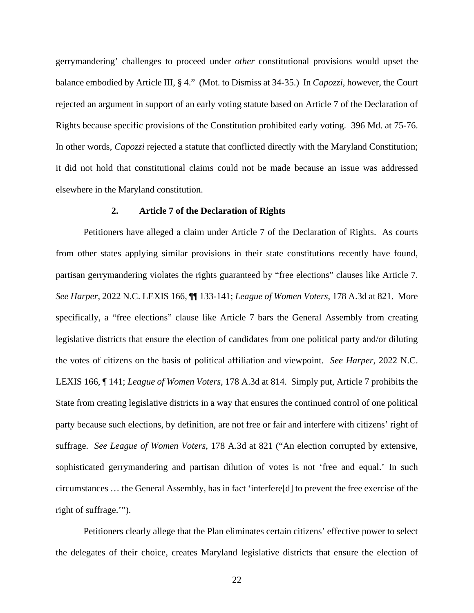gerrymandering' challenges to proceed under *other* constitutional provisions would upset the balance embodied by Article III, § 4." (Mot. to Dismiss at 34-35.) In *Capozzi*, however, the Court rejected an argument in support of an early voting statute based on Article 7 of the Declaration of Rights because specific provisions of the Constitution prohibited early voting. 396 Md. at 75-76. In other words, *Capozzi* rejected a statute that conflicted directly with the Maryland Constitution; it did not hold that constitutional claims could not be made because an issue was addressed elsewhere in the Maryland constitution.

## **2. Article 7 of the Declaration of Rights**

Petitioners have alleged a claim under Article 7 of the Declaration of Rights. As courts from other states applying similar provisions in their state constitutions recently have found, partisan gerrymandering violates the rights guaranteed by "free elections" clauses like Article 7. *See Harper*, 2022 N.C. LEXIS 166, ¶¶ 133-141; *League of Women Voters*, 178 A.3d at 821. More specifically, a "free elections" clause like Article 7 bars the General Assembly from creating legislative districts that ensure the election of candidates from one political party and/or diluting the votes of citizens on the basis of political affiliation and viewpoint. *See Harper*, 2022 N.C. LEXIS 166, ¶ 141; *League of Women Voters*, 178 A.3d at 814. Simply put, Article 7 prohibits the State from creating legislative districts in a way that ensures the continued control of one political party because such elections, by definition, are not free or fair and interfere with citizens' right of suffrage. *See League of Women Voters*, 178 A.3d at 821 ("An election corrupted by extensive, sophisticated gerrymandering and partisan dilution of votes is not 'free and equal.' In such circumstances … the General Assembly, has in fact 'interfere[d] to prevent the free exercise of the right of suffrage.'").

Petitioners clearly allege that the Plan eliminates certain citizens' effective power to select the delegates of their choice, creates Maryland legislative districts that ensure the election of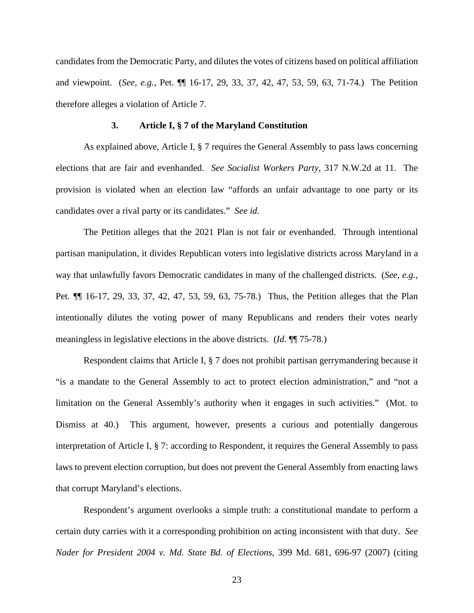candidates from the Democratic Party, and dilutes the votes of citizens based on political affiliation and viewpoint. (*See, e.g.*, Pet. ¶¶ 16-17, 29, 33, 37, 42, 47, 53, 59, 63, 71-74.) The Petition therefore alleges a violation of Article 7.

### **3. Article I, § 7 of the Maryland Constitution**

As explained above, Article I, § 7 requires the General Assembly to pass laws concerning elections that are fair and evenhanded. *See Socialist Workers Party*, 317 N.W.2d at 11. The provision is violated when an election law "affords an unfair advantage to one party or its candidates over a rival party or its candidates." *See id.* 

The Petition alleges that the 2021 Plan is not fair or evenhanded. Through intentional partisan manipulation, it divides Republican voters into legislative districts across Maryland in a way that unlawfully favors Democratic candidates in many of the challenged districts. (*See, e.g.*, Pet. ¶¶ 16-17, 29, 33, 37, 42, 47, 53, 59, 63, 75-78.) Thus, the Petition alleges that the Plan intentionally dilutes the voting power of many Republicans and renders their votes nearly meaningless in legislative elections in the above districts. (*Id*. ¶¶ 75-78.)

Respondent claims that Article I, § 7 does not prohibit partisan gerrymandering because it "is a mandate to the General Assembly to act to protect election administration," and "not a limitation on the General Assembly's authority when it engages in such activities." (Mot. to Dismiss at 40.) This argument, however, presents a curious and potentially dangerous interpretation of Article I, § 7: according to Respondent, it requires the General Assembly to pass laws to prevent election corruption, but does not prevent the General Assembly from enacting laws that corrupt Maryland's elections.

Respondent's argument overlooks a simple truth: a constitutional mandate to perform a certain duty carries with it a corresponding prohibition on acting inconsistent with that duty. *See Nader for President 2004 v. Md. State Bd. of Elections*, 399 Md. 681, 696-97 (2007) (citing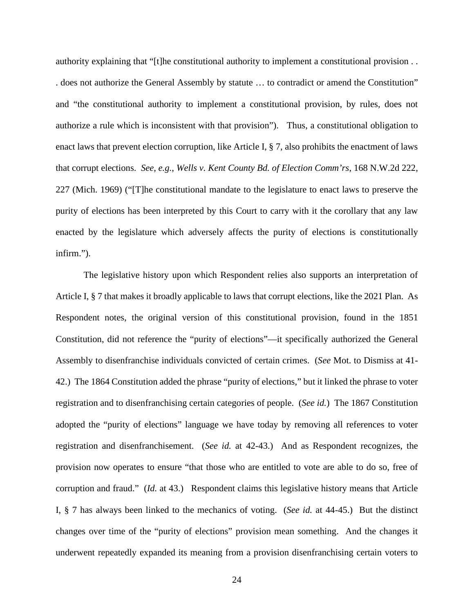authority explaining that "[t]he constitutional authority to implement a constitutional provision . . . does not authorize the General Assembly by statute … to contradict or amend the Constitution" and "the constitutional authority to implement a constitutional provision, by rules, does not authorize a rule which is inconsistent with that provision"). Thus, a constitutional obligation to enact laws that prevent election corruption, like Article I, § 7, also prohibits the enactment of laws that corrupt elections. *See, e.g.*, *Wells v. Kent County Bd. of Election Comm'rs*, 168 N.W.2d 222, 227 (Mich. 1969) ("[T]he constitutional mandate to the legislature to enact laws to preserve the purity of elections has been interpreted by this Court to carry with it the corollary that any law enacted by the legislature which adversely affects the purity of elections is constitutionally infirm.").

The legislative history upon which Respondent relies also supports an interpretation of Article I, § 7 that makes it broadly applicable to laws that corrupt elections, like the 2021 Plan. As Respondent notes, the original version of this constitutional provision, found in the 1851 Constitution, did not reference the "purity of elections"—it specifically authorized the General Assembly to disenfranchise individuals convicted of certain crimes. (*See* Mot. to Dismiss at 41- 42.) The 1864 Constitution added the phrase "purity of elections," but it linked the phrase to voter registration and to disenfranchising certain categories of people. (*See id.*) The 1867 Constitution adopted the "purity of elections" language we have today by removing all references to voter registration and disenfranchisement. (*See id.* at 42-43.) And as Respondent recognizes, the provision now operates to ensure "that those who are entitled to vote are able to do so, free of corruption and fraud." (*Id.* at 43.) Respondent claims this legislative history means that Article I, § 7 has always been linked to the mechanics of voting. (*See id.* at 44-45.) But the distinct changes over time of the "purity of elections" provision mean something. And the changes it underwent repeatedly expanded its meaning from a provision disenfranchising certain voters to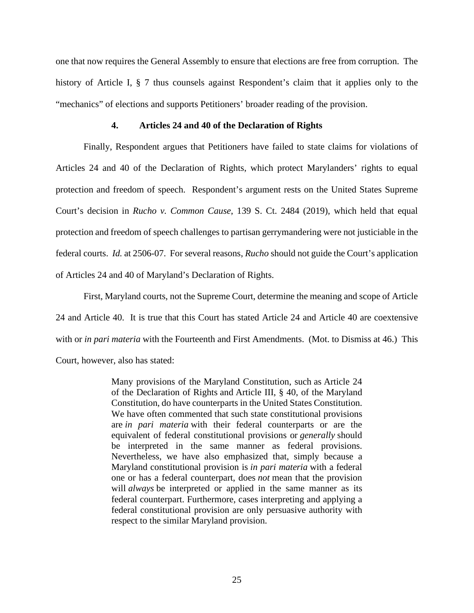one that now requires the General Assembly to ensure that elections are free from corruption. The history of Article I, § 7 thus counsels against Respondent's claim that it applies only to the "mechanics" of elections and supports Petitioners' broader reading of the provision.

### **4. Articles 24 and 40 of the Declaration of Rights**

Finally, Respondent argues that Petitioners have failed to state claims for violations of Articles 24 and 40 of the Declaration of Rights, which protect Marylanders' rights to equal protection and freedom of speech. Respondent's argument rests on the United States Supreme Court's decision in *Rucho v. Common Cause*, 139 S. Ct. 2484 (2019), which held that equal protection and freedom of speech challenges to partisan gerrymandering were not justiciable in the federal courts. *Id.* at 2506-07. For several reasons, *Rucho* should not guide the Court's application of Articles 24 and 40 of Maryland's Declaration of Rights.

First, Maryland courts, not the Supreme Court, determine the meaning and scope of Article 24 and Article 40. It is true that this Court has stated Article 24 and Article 40 are coextensive with or *in pari materia* with the Fourteenth and First Amendments. (Mot. to Dismiss at 46.) This Court, however, also has stated:

> Many provisions of the Maryland Constitution, such as Article 24 of the Declaration of Rights and Article III, § 40, of the Maryland Constitution, do have counterparts in the United States Constitution. We have often commented that such state constitutional provisions are *in pari materia* with their federal counterparts or are the equivalent of federal constitutional provisions or *generally* should be interpreted in the same manner as federal provisions. Nevertheless, we have also emphasized that, simply because a Maryland constitutional provision is *in pari materia* with a federal one or has a federal counterpart, does *not* mean that the provision will *always* be interpreted or applied in the same manner as its federal counterpart. Furthermore, cases interpreting and applying a federal constitutional provision are only persuasive authority with respect to the similar Maryland provision.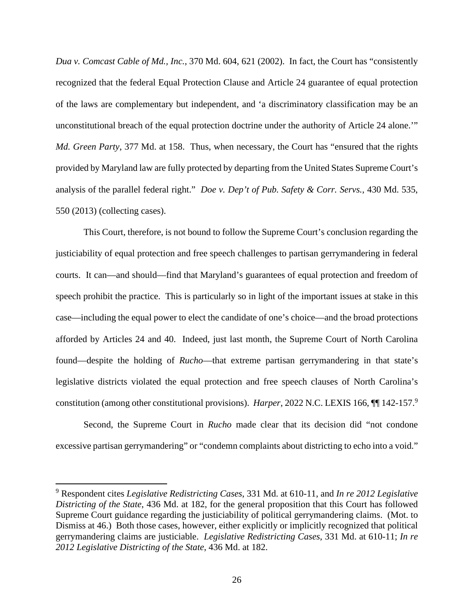*Dua v. Comcast Cable of Md., Inc.*, 370 Md. 604, 621 (2002). In fact, the Court has "consistently recognized that the federal Equal Protection Clause and Article 24 guarantee of equal protection of the laws are complementary but independent, and 'a discriminatory classification may be an unconstitutional breach of the equal protection doctrine under the authority of Article 24 alone.'" *Md. Green Party*, 377 Md. at 158. Thus, when necessary, the Court has "ensured that the rights provided by Maryland law are fully protected by departing from the United States Supreme Court's analysis of the parallel federal right." *Doe v. Dep't of Pub. Safety & Corr. Servs.*, 430 Md. 535, 550 (2013) (collecting cases).

This Court, therefore, is not bound to follow the Supreme Court's conclusion regarding the justiciability of equal protection and free speech challenges to partisan gerrymandering in federal courts. It can—and should—find that Maryland's guarantees of equal protection and freedom of speech prohibit the practice. This is particularly so in light of the important issues at stake in this case—including the equal power to elect the candidate of one's choice—and the broad protections afforded by Articles 24 and 40. Indeed, just last month, the Supreme Court of North Carolina found—despite the holding of *Rucho*—that extreme partisan gerrymandering in that state's legislative districts violated the equal protection and free speech clauses of North Carolina's constitution (among other constitutional provisions). *Harper*, 2022 N.C. LEXIS 166, ¶¶ 142-157.<sup>9</sup>

Second, the Supreme Court in *Rucho* made clear that its decision did "not condone excessive partisan gerrymandering" or "condemn complaints about districting to echo into a void."

<sup>9</sup> Respondent cites *Legislative Redistricting Cases*, 331 Md. at 610-11, and *In re 2012 Legislative Districting of the State*, 436 Md. at 182, for the general proposition that this Court has followed Supreme Court guidance regarding the justiciability of political gerrymandering claims. (Mot. to Dismiss at 46.) Both those cases, however, either explicitly or implicitly recognized that political gerrymandering claims are justiciable. *Legislative Redistricting Cases*, 331 Md. at 610-11; *In re 2012 Legislative Districting of the State*, 436 Md. at 182.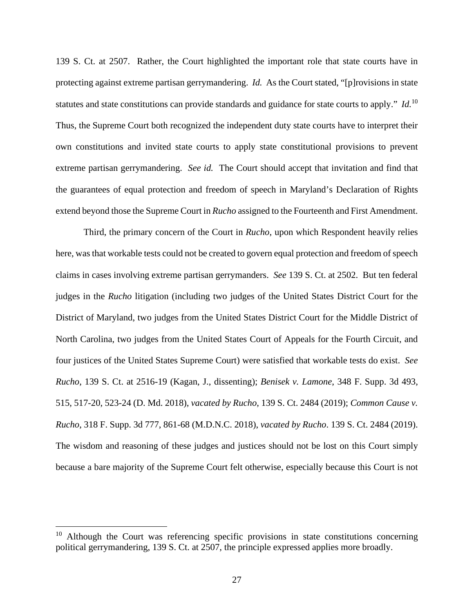139 S. Ct. at 2507. Rather, the Court highlighted the important role that state courts have in protecting against extreme partisan gerrymandering. *Id.* As the Court stated, "[p]rovisions in state statutes and state constitutions can provide standards and guidance for state courts to apply." *Id.*<sup>10</sup> Thus, the Supreme Court both recognized the independent duty state courts have to interpret their own constitutions and invited state courts to apply state constitutional provisions to prevent extreme partisan gerrymandering. *See id.* The Court should accept that invitation and find that the guarantees of equal protection and freedom of speech in Maryland's Declaration of Rights extend beyond those the Supreme Court in *Rucho* assigned to the Fourteenth and First Amendment.

Third, the primary concern of the Court in *Rucho*, upon which Respondent heavily relies here, was that workable tests could not be created to govern equal protection and freedom of speech claims in cases involving extreme partisan gerrymanders. *See* 139 S. Ct. at 2502. But ten federal judges in the *Rucho* litigation (including two judges of the United States District Court for the District of Maryland, two judges from the United States District Court for the Middle District of North Carolina, two judges from the United States Court of Appeals for the Fourth Circuit, and four justices of the United States Supreme Court) were satisfied that workable tests do exist. *See Rucho*, 139 S. Ct. at 2516-19 (Kagan, J., dissenting); *Benisek v. Lamone*, 348 F. Supp. 3d 493, 515, 517-20, 523-24 (D. Md. 2018), *vacated by Rucho*, 139 S. Ct. 2484 (2019); *Common Cause v. Rucho*, 318 F. Supp. 3d 777, 861-68 (M.D.N.C. 2018), *vacated by Rucho*. 139 S. Ct. 2484 (2019). The wisdom and reasoning of these judges and justices should not be lost on this Court simply because a bare majority of the Supreme Court felt otherwise, especially because this Court is not

 $10$  Although the Court was referencing specific provisions in state constitutions concerning political gerrymandering, 139 S. Ct. at 2507, the principle expressed applies more broadly.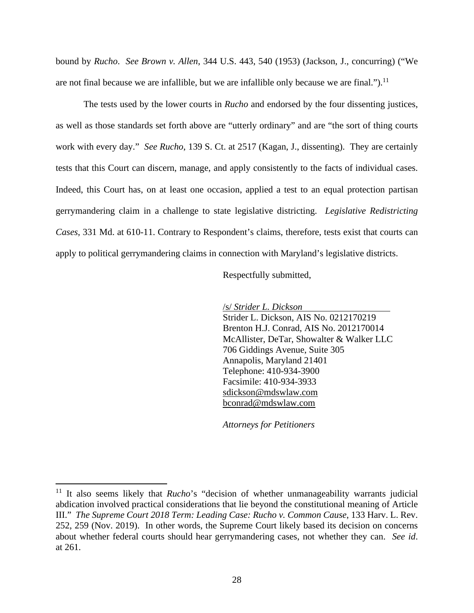bound by *Rucho*. *See Brown v. Allen*, 344 U.S. 443, 540 (1953) (Jackson, J., concurring) ("We are not final because we are infallible, but we are infallible only because we are final.").<sup>11</sup>

The tests used by the lower courts in *Rucho* and endorsed by the four dissenting justices, as well as those standards set forth above are "utterly ordinary" and are "the sort of thing courts work with every day." *See Rucho*, 139 S. Ct. at 2517 (Kagan, J., dissenting). They are certainly tests that this Court can discern, manage, and apply consistently to the facts of individual cases. Indeed, this Court has, on at least one occasion, applied a test to an equal protection partisan gerrymandering claim in a challenge to state legislative districting. *Legislative Redistricting Cases*, 331 Md. at 610-11. Contrary to Respondent's claims, therefore, tests exist that courts can apply to political gerrymandering claims in connection with Maryland's legislative districts.

Respectfully submitted,

/s/ *Strider L. Dickson*

Strider L. Dickson, AIS No. 0212170219 Brenton H.J. Conrad, AIS No. 2012170014 McAllister, DeTar, Showalter & Walker LLC 706 Giddings Avenue, Suite 305 Annapolis, Maryland 21401 Telephone: 410-934-3900 Facsimile: 410-934-3933 sdickson@mdswlaw.com bconrad@mdswlaw.com

*Attorneys for Petitioners* 

<sup>&</sup>lt;sup>11</sup> It also seems likely that *Rucho*'s "decision of whether unmanageability warrants judicial abdication involved practical considerations that lie beyond the constitutional meaning of Article III." *The Supreme Court 2018 Term: Leading Case: Rucho v. Common Cause*, 133 Harv. L. Rev. 252, 259 (Nov. 2019). In other words, the Supreme Court likely based its decision on concerns about whether federal courts should hear gerrymandering cases, not whether they can. *See id*. at 261.